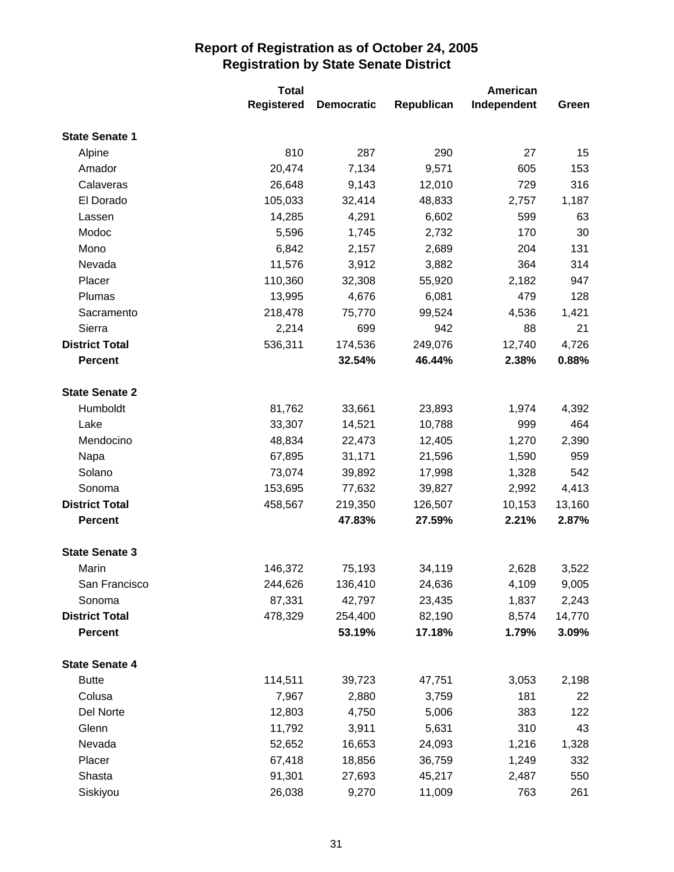|                       | <b>Total</b> |                   | <b>American</b> |             |        |
|-----------------------|--------------|-------------------|-----------------|-------------|--------|
|                       | Registered   | <b>Democratic</b> | Republican      | Independent | Green  |
| <b>State Senate 1</b> |              |                   |                 |             |        |
| Alpine                | 810          | 287               | 290             | 27          | 15     |
| Amador                | 20,474       | 7,134             | 9,571           | 605         | 153    |
| Calaveras             | 26,648       | 9,143             | 12,010          | 729         | 316    |
| El Dorado             | 105,033      | 32,414            | 48,833          | 2,757       | 1,187  |
| Lassen                | 14,285       | 4,291             | 6,602           | 599         | 63     |
| Modoc                 | 5,596        | 1,745             | 2,732           | 170         | 30     |
| Mono                  | 6,842        | 2,157             | 2,689           | 204         | 131    |
| Nevada                | 11,576       | 3,912             | 3,882           | 364         | 314    |
| Placer                | 110,360      | 32,308            | 55,920          | 2,182       | 947    |
| Plumas                | 13,995       | 4,676             | 6,081           | 479         | 128    |
| Sacramento            | 218,478      | 75,770            | 99,524          | 4,536       | 1,421  |
| Sierra                | 2,214        | 699               | 942             | 88          | 21     |
| <b>District Total</b> | 536,311      | 174,536           | 249,076         | 12,740      | 4,726  |
| <b>Percent</b>        |              | 32.54%            | 46.44%          | 2.38%       | 0.88%  |
|                       |              |                   |                 |             |        |
| <b>State Senate 2</b> |              |                   |                 |             |        |
| Humboldt              | 81,762       | 33,661            | 23,893          | 1,974       | 4,392  |
| Lake                  | 33,307       | 14,521            | 10,788          | 999         | 464    |
| Mendocino             | 48,834       | 22,473            | 12,405          | 1,270       | 2,390  |
| Napa                  | 67,895       | 31,171            | 21,596          | 1,590       | 959    |
| Solano                | 73,074       | 39,892            | 17,998          | 1,328       | 542    |
| Sonoma                | 153,695      | 77,632            | 39,827          | 2,992       | 4,413  |
| <b>District Total</b> | 458,567      | 219,350           | 126,507         | 10,153      | 13,160 |
| <b>Percent</b>        |              | 47.83%            | 27.59%          | 2.21%       | 2.87%  |
| <b>State Senate 3</b> |              |                   |                 |             |        |
| Marin                 | 146,372      | 75,193            | 34,119          | 2,628       | 3,522  |
| San Francisco         | 244,626      | 136,410           | 24,636          | 4,109       | 9,005  |
| Sonoma                | 87,331       | 42,797            | 23,435          | 1,837       | 2,243  |
| <b>District Total</b> | 478,329      | 254,400           | 82,190          | 8,574       | 14,770 |
| <b>Percent</b>        |              | 53.19%            | 17.18%          | 1.79%       | 3.09%  |
| <b>State Senate 4</b> |              |                   |                 |             |        |
| <b>Butte</b>          | 114,511      | 39,723            | 47,751          | 3,053       | 2,198  |
| Colusa                | 7,967        | 2,880             | 3,759           | 181         | 22     |
| Del Norte             | 12,803       | 4,750             | 5,006           | 383         | 122    |
| Glenn                 | 11,792       | 3,911             | 5,631           | 310         | 43     |
| Nevada                | 52,652       | 16,653            | 24,093          | 1,216       | 1,328  |
| Placer                | 67,418       | 18,856            | 36,759          | 1,249       | 332    |
| Shasta                | 91,301       | 27,693            | 45,217          | 2,487       | 550    |
| Siskiyou              | 26,038       | 9,270             | 11,009          | 763         | 261    |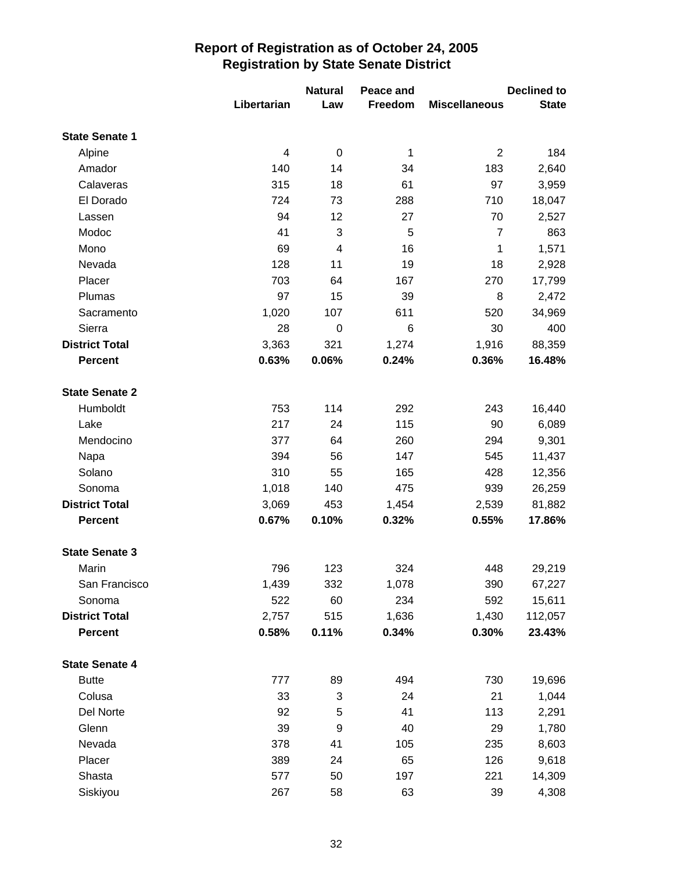|                       |                | <b>Natural</b>          | Peace and |                      | <b>Declined to</b> |
|-----------------------|----------------|-------------------------|-----------|----------------------|--------------------|
|                       | Libertarian    | Law                     | Freedom   | <b>Miscellaneous</b> | <b>State</b>       |
| <b>State Senate 1</b> |                |                         |           |                      |                    |
| Alpine                | $\overline{4}$ | $\pmb{0}$               | 1         | $\overline{2}$       | 184                |
| Amador                | 140            | 14                      | 34        | 183                  | 2,640              |
| Calaveras             | 315            | 18                      | 61        | 97                   | 3,959              |
| El Dorado             | 724            | 73                      | 288       | 710                  | 18,047             |
| Lassen                | 94             | 12                      | 27        | 70                   | 2,527              |
| Modoc                 | 41             | 3                       | 5         | $\overline{7}$       | 863                |
| Mono                  | 69             | $\overline{\mathbf{4}}$ | 16        | 1                    | 1,571              |
| Nevada                | 128            | 11                      | 19        | 18                   | 2,928              |
| Placer                | 703            | 64                      | 167       | 270                  | 17,799             |
| Plumas                | 97             | 15                      | 39        | 8                    | 2,472              |
| Sacramento            | 1,020          | 107                     | 611       | 520                  | 34,969             |
| Sierra                | 28             | $\mathbf 0$             | 6         | 30                   | 400                |
| <b>District Total</b> | 3,363          | 321                     | 1,274     | 1,916                | 88,359             |
| <b>Percent</b>        | 0.63%          | 0.06%                   | 0.24%     | 0.36%                | 16.48%             |
| <b>State Senate 2</b> |                |                         |           |                      |                    |
| Humboldt              | 753            | 114                     | 292       | 243                  | 16,440             |
| Lake                  | 217            | 24                      | 115       | 90                   | 6,089              |
| Mendocino             | 377            | 64                      | 260       | 294                  | 9,301              |
| Napa                  | 394            | 56                      | 147       | 545                  | 11,437             |
| Solano                | 310            | 55                      | 165       | 428                  | 12,356             |
| Sonoma                | 1,018          | 140                     | 475       | 939                  | 26,259             |
| <b>District Total</b> | 3,069          | 453                     | 1,454     | 2,539                | 81,882             |
| <b>Percent</b>        | 0.67%          | 0.10%                   | 0.32%     | 0.55%                | 17.86%             |
| <b>State Senate 3</b> |                |                         |           |                      |                    |
| Marin                 | 796            | 123                     | 324       | 448                  | 29,219             |
| San Francisco         | 1,439          | 332                     | 1,078     | 390                  | 67,227             |
| Sonoma                | 522            | 60                      | 234       | 592                  | 15,611             |
| <b>District Total</b> | 2,757          | 515                     | 1,636     | 1,430                | 112,057            |
| <b>Percent</b>        | 0.58%          | 0.11%                   | 0.34%     | 0.30%                | 23.43%             |
| <b>State Senate 4</b> |                |                         |           |                      |                    |
| <b>Butte</b>          | 777            | 89                      | 494       | 730                  | 19,696             |
| Colusa                | 33             | 3                       | 24        | 21                   | 1,044              |
| Del Norte             | 92             | 5                       | 41        | 113                  | 2,291              |
| Glenn                 | 39             | 9                       | 40        | 29                   | 1,780              |
| Nevada                | 378            | 41                      | 105       | 235                  | 8,603              |
| Placer                | 389            | 24                      | 65        | 126                  | 9,618              |
| Shasta                | 577            | 50                      | 197       | 221                  | 14,309             |
| Siskiyou              | 267            | 58                      | 63        | 39                   | 4,308              |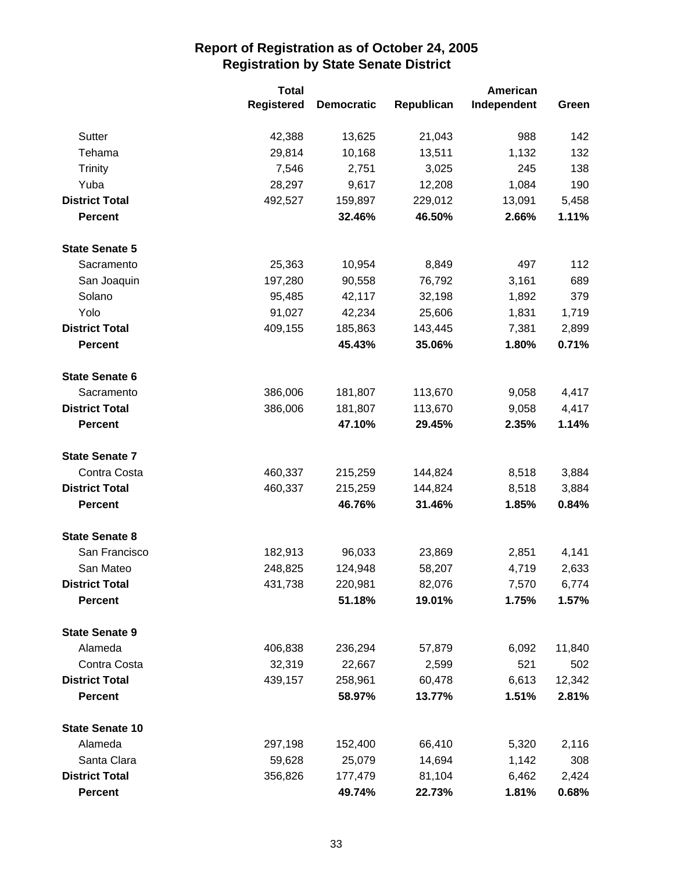|                        | <b>Total</b>      |                   | American   |             |        |
|------------------------|-------------------|-------------------|------------|-------------|--------|
|                        | <b>Registered</b> | <b>Democratic</b> | Republican | Independent | Green  |
| Sutter                 | 42,388            | 13,625            | 21,043     | 988         | 142    |
| Tehama                 | 29,814            | 10,168            | 13,511     | 1,132       | 132    |
| <b>Trinity</b>         | 7,546             | 2,751             | 3,025      | 245         | 138    |
| Yuba                   | 28,297            | 9,617             | 12,208     | 1,084       | 190    |
| <b>District Total</b>  | 492,527           | 159,897           | 229,012    | 13,091      | 5,458  |
| <b>Percent</b>         |                   | 32.46%            | 46.50%     | 2.66%       | 1.11%  |
| <b>State Senate 5</b>  |                   |                   |            |             |        |
| Sacramento             | 25,363            | 10,954            | 8,849      | 497         | 112    |
| San Joaquin            | 197,280           | 90,558            | 76,792     | 3,161       | 689    |
| Solano                 | 95,485            | 42,117            | 32,198     | 1,892       | 379    |
| Yolo                   | 91,027            | 42,234            | 25,606     | 1,831       | 1,719  |
| <b>District Total</b>  | 409,155           | 185,863           | 143,445    | 7,381       | 2,899  |
| <b>Percent</b>         |                   | 45.43%            | 35.06%     | 1.80%       | 0.71%  |
| <b>State Senate 6</b>  |                   |                   |            |             |        |
| Sacramento             | 386,006           | 181,807           | 113,670    | 9,058       | 4,417  |
| <b>District Total</b>  | 386,006           | 181,807           | 113,670    | 9,058       | 4,417  |
| <b>Percent</b>         |                   | 47.10%            | 29.45%     | 2.35%       | 1.14%  |
| <b>State Senate 7</b>  |                   |                   |            |             |        |
| Contra Costa           | 460,337           | 215,259           | 144,824    | 8,518       | 3,884  |
| <b>District Total</b>  | 460,337           | 215,259           | 144,824    | 8,518       | 3,884  |
| <b>Percent</b>         |                   | 46.76%            | 31.46%     | 1.85%       | 0.84%  |
| <b>State Senate 8</b>  |                   |                   |            |             |        |
| San Francisco          | 182,913           | 96,033            | 23,869     | 2,851       | 4,141  |
| San Mateo              | 248,825           | 124,948           | 58,207     | 4,719       | 2,633  |
| <b>District Total</b>  | 431,738           | 220,981           | 82,076     | 7,570       | 6,774  |
| <b>Percent</b>         |                   | 51.18%            | 19.01%     | 1.75%       | 1.57%  |
| <b>State Senate 9</b>  |                   |                   |            |             |        |
| Alameda                | 406,838           | 236,294           | 57,879     | 6,092       | 11,840 |
| Contra Costa           | 32,319            | 22,667            | 2,599      | 521         | 502    |
| <b>District Total</b>  | 439,157           | 258,961           | 60,478     | 6,613       | 12,342 |
| <b>Percent</b>         |                   | 58.97%            | 13.77%     | 1.51%       | 2.81%  |
| <b>State Senate 10</b> |                   |                   |            |             |        |
| Alameda                | 297,198           | 152,400           | 66,410     | 5,320       | 2,116  |
| Santa Clara            | 59,628            | 25,079            | 14,694     | 1,142       | 308    |
| <b>District Total</b>  | 356,826           | 177,479           | 81,104     | 6,462       | 2,424  |
| <b>Percent</b>         |                   | 49.74%            | 22.73%     | 1.81%       | 0.68%  |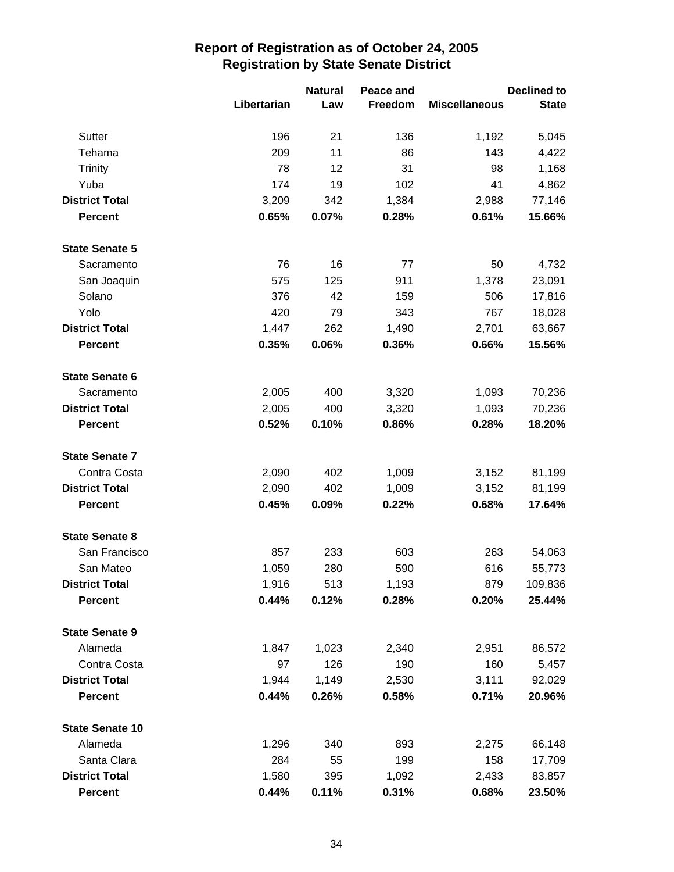|                        |             | <b>Natural</b> | Peace and |                      | <b>Declined to</b> |  |
|------------------------|-------------|----------------|-----------|----------------------|--------------------|--|
|                        | Libertarian | Law            | Freedom   | <b>Miscellaneous</b> | <b>State</b>       |  |
| Sutter                 | 196         | 21             | 136       | 1,192                | 5,045              |  |
| Tehama                 | 209         | 11             | 86        | 143                  | 4,422              |  |
| <b>Trinity</b>         | 78          | 12             | 31        | 98                   | 1,168              |  |
| Yuba                   | 174         | 19             | 102       | 41                   | 4,862              |  |
| <b>District Total</b>  | 3,209       | 342            | 1,384     | 2,988                | 77,146             |  |
| <b>Percent</b>         | 0.65%       | 0.07%          | 0.28%     | 0.61%                | 15.66%             |  |
| <b>State Senate 5</b>  |             |                |           |                      |                    |  |
| Sacramento             | 76          | 16             | 77        | 50                   | 4,732              |  |
| San Joaquin            | 575         | 125            | 911       | 1,378                | 23,091             |  |
| Solano                 | 376         | 42             | 159       | 506                  | 17,816             |  |
| Yolo                   | 420         | 79             | 343       | 767                  | 18,028             |  |
| <b>District Total</b>  | 1,447       | 262            | 1,490     | 2,701                | 63,667             |  |
| <b>Percent</b>         | 0.35%       | 0.06%          | 0.36%     | 0.66%                | 15.56%             |  |
| <b>State Senate 6</b>  |             |                |           |                      |                    |  |
| Sacramento             | 2,005       | 400            | 3,320     | 1,093                | 70,236             |  |
| <b>District Total</b>  | 2,005       | 400            | 3,320     | 1,093                | 70,236             |  |
| <b>Percent</b>         | 0.52%       | 0.10%          | 0.86%     | 0.28%                | 18.20%             |  |
| <b>State Senate 7</b>  |             |                |           |                      |                    |  |
| Contra Costa           | 2,090       | 402            | 1,009     | 3,152                | 81,199             |  |
| <b>District Total</b>  | 2,090       | 402            | 1,009     | 3,152                | 81,199             |  |
| <b>Percent</b>         | 0.45%       | 0.09%          | 0.22%     | 0.68%                | 17.64%             |  |
| <b>State Senate 8</b>  |             |                |           |                      |                    |  |
| San Francisco          | 857         | 233            | 603       | 263                  | 54,063             |  |
| San Mateo              | 1,059       | 280            | 590       | 616                  | 55,773             |  |
| <b>District Total</b>  | 1,916       | 513            | 1,193     | 879                  | 109,836            |  |
| <b>Percent</b>         | 0.44%       | 0.12%          | 0.28%     | 0.20%                | 25.44%             |  |
| <b>State Senate 9</b>  |             |                |           |                      |                    |  |
| Alameda                | 1,847       | 1,023          | 2,340     | 2,951                | 86,572             |  |
| Contra Costa           | 97          | 126            | 190       | 160                  | 5,457              |  |
| <b>District Total</b>  | 1,944       | 1,149          | 2,530     | 3,111                | 92,029             |  |
| <b>Percent</b>         | 0.44%       | 0.26%          | 0.58%     | 0.71%                | 20.96%             |  |
| <b>State Senate 10</b> |             |                |           |                      |                    |  |
| Alameda                | 1,296       | 340            | 893       | 2,275                | 66,148             |  |
| Santa Clara            | 284         | 55             | 199       | 158                  | 17,709             |  |
| <b>District Total</b>  | 1,580       | 395            | 1,092     | 2,433                | 83,857             |  |
| <b>Percent</b>         | 0.44%       | 0.11%          | 0.31%     | 0.68%                | 23.50%             |  |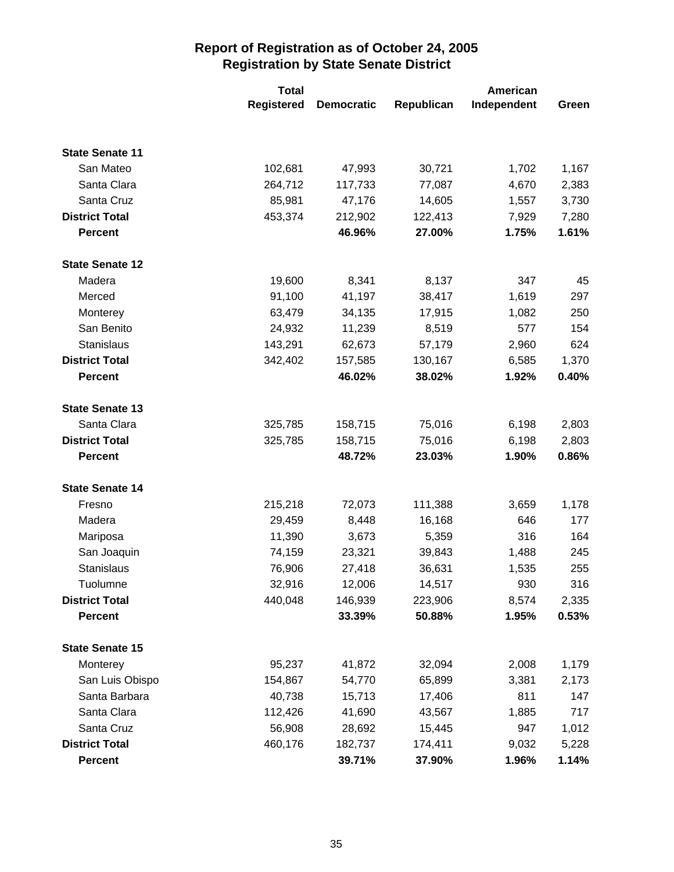|                        | <b>Total</b>      |                   | <b>American</b> |             |       |
|------------------------|-------------------|-------------------|-----------------|-------------|-------|
|                        | <b>Registered</b> | <b>Democratic</b> | Republican      | Independent | Green |
|                        |                   |                   |                 |             |       |
| <b>State Senate 11</b> |                   |                   |                 |             |       |
| San Mateo              | 102,681           | 47,993            | 30,721          | 1,702       | 1,167 |
| Santa Clara            | 264,712           | 117,733           | 77,087          | 4,670       | 2,383 |
| Santa Cruz             | 85,981            | 47,176            | 14,605          | 1,557       | 3,730 |
| <b>District Total</b>  | 453,374           | 212,902           | 122,413         | 7,929       | 7,280 |
| <b>Percent</b>         |                   | 46.96%            | 27.00%          | 1.75%       | 1.61% |
| <b>State Senate 12</b> |                   |                   |                 |             |       |
| Madera                 | 19,600            | 8,341             | 8,137           | 347         | 45    |
| Merced                 | 91,100            | 41,197            | 38,417          | 1,619       | 297   |
| Monterey               | 63,479            | 34,135            | 17,915          | 1,082       | 250   |
| San Benito             | 24,932            | 11,239            | 8,519           | 577         | 154   |
| Stanislaus             | 143,291           | 62,673            | 57,179          | 2,960       | 624   |
| <b>District Total</b>  | 342,402           | 157,585           | 130,167         | 6,585       | 1,370 |
| <b>Percent</b>         |                   | 46.02%            | 38.02%          | 1.92%       | 0.40% |
| <b>State Senate 13</b> |                   |                   |                 |             |       |
| Santa Clara            | 325,785           | 158,715           | 75,016          | 6,198       | 2,803 |
| <b>District Total</b>  | 325,785           | 158,715           | 75,016          | 6,198       | 2,803 |
| <b>Percent</b>         |                   | 48.72%            | 23.03%          | 1.90%       | 0.86% |
| <b>State Senate 14</b> |                   |                   |                 |             |       |
| Fresno                 | 215,218           | 72,073            | 111,388         | 3,659       | 1,178 |
| Madera                 | 29,459            | 8,448             | 16,168          | 646         | 177   |
| Mariposa               | 11,390            | 3,673             | 5,359           | 316         | 164   |
| San Joaquin            | 74,159            | 23,321            | 39,843          | 1,488       | 245   |
| Stanislaus             | 76,906            | 27,418            | 36,631          | 1,535       | 255   |
| Tuolumne               | 32,916            | 12,006            | 14,517          | 930         | 316   |
| <b>District Total</b>  | 440,048           | 146,939           | 223,906         | 8,574       | 2,335 |
| <b>Percent</b>         |                   | 33.39%            | 50.88%          | 1.95%       | 0.53% |
| <b>State Senate 15</b> |                   |                   |                 |             |       |
| Monterey               | 95,237            | 41,872            | 32,094          | 2,008       | 1,179 |
| San Luis Obispo        | 154,867           | 54,770            | 65,899          | 3,381       | 2,173 |
| Santa Barbara          | 40,738            | 15,713            | 17,406          | 811         | 147   |
| Santa Clara            | 112,426           | 41,690            | 43,567          | 1,885       | 717   |
| Santa Cruz             | 56,908            | 28,692            | 15,445          | 947         | 1,012 |
| <b>District Total</b>  | 460,176           | 182,737           | 174,411         | 9,032       | 5,228 |
| <b>Percent</b>         |                   | 39.71%            | 37.90%          | 1.96%       | 1.14% |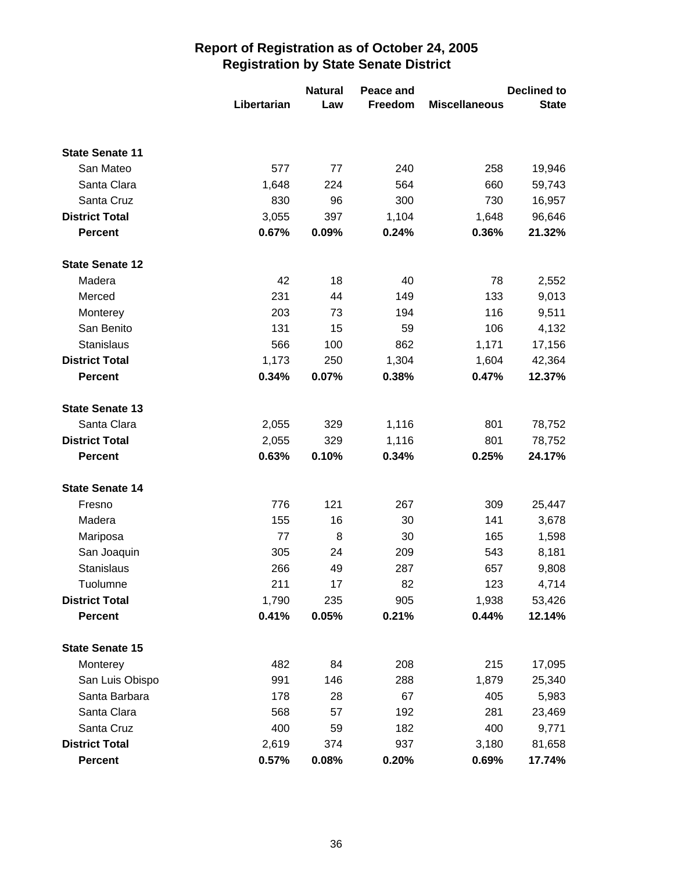|                        |             | <b>Natural</b> | Peace and |                      | <b>Declined to</b> |
|------------------------|-------------|----------------|-----------|----------------------|--------------------|
|                        | Libertarian | Law            | Freedom   | <b>Miscellaneous</b> | <b>State</b>       |
|                        |             |                |           |                      |                    |
| <b>State Senate 11</b> |             |                |           |                      |                    |
| San Mateo              | 577         | 77             | 240       | 258                  | 19,946             |
| Santa Clara            | 1,648       | 224            | 564       | 660                  | 59,743             |
| Santa Cruz             | 830         | 96             | 300       | 730                  | 16,957             |
| <b>District Total</b>  | 3,055       | 397            | 1,104     | 1,648                | 96,646             |
| <b>Percent</b>         | 0.67%       | 0.09%          | 0.24%     | 0.36%                | 21.32%             |
| <b>State Senate 12</b> |             |                |           |                      |                    |
| Madera                 | 42          | 18             | 40        | 78                   | 2,552              |
| Merced                 | 231         | 44             | 149       | 133                  | 9,013              |
| Monterey               | 203         | 73             | 194       | 116                  | 9,511              |
| San Benito             | 131         | 15             | 59        | 106                  | 4,132              |
| <b>Stanislaus</b>      | 566         | 100            | 862       | 1,171                | 17,156             |
| <b>District Total</b>  | 1,173       | 250            | 1,304     | 1,604                | 42,364             |
| <b>Percent</b>         | 0.34%       | 0.07%          | 0.38%     | 0.47%                | 12.37%             |
| <b>State Senate 13</b> |             |                |           |                      |                    |
| Santa Clara            | 2,055       | 329            | 1,116     | 801                  | 78,752             |
| <b>District Total</b>  | 2,055       | 329            | 1,116     | 801                  | 78,752             |
| <b>Percent</b>         | 0.63%       | 0.10%          | 0.34%     | 0.25%                | 24.17%             |
| <b>State Senate 14</b> |             |                |           |                      |                    |
| Fresno                 | 776         | 121            | 267       | 309                  | 25,447             |
| Madera                 | 155         | 16             | 30        | 141                  | 3,678              |
| Mariposa               | 77          | 8              | 30        | 165                  | 1,598              |
| San Joaquin            | 305         | 24             | 209       | 543                  | 8,181              |
| Stanislaus             | 266         | 49             | 287       | 657                  | 9,808              |
| Tuolumne               | 211         | 17             | 82        | 123                  | 4,714              |
| <b>District Total</b>  | 1,790       | 235            | 905       | 1,938                | 53,426             |
| <b>Percent</b>         | 0.41%       | 0.05%          | 0.21%     | 0.44%                | 12.14%             |
| <b>State Senate 15</b> |             |                |           |                      |                    |
| Monterey               | 482         | 84             | 208       | 215                  | 17,095             |
| San Luis Obispo        | 991         | 146            | 288       | 1,879                | 25,340             |
| Santa Barbara          | 178         | 28             | 67        | 405                  | 5,983              |
| Santa Clara            | 568         | 57             | 192       | 281                  | 23,469             |
| Santa Cruz             | 400         | 59             | 182       | 400                  | 9,771              |
| <b>District Total</b>  | 2,619       | 374            | 937       | 3,180                | 81,658             |
| <b>Percent</b>         | 0.57%       | 0.08%          | 0.20%     | 0.69%                | 17.74%             |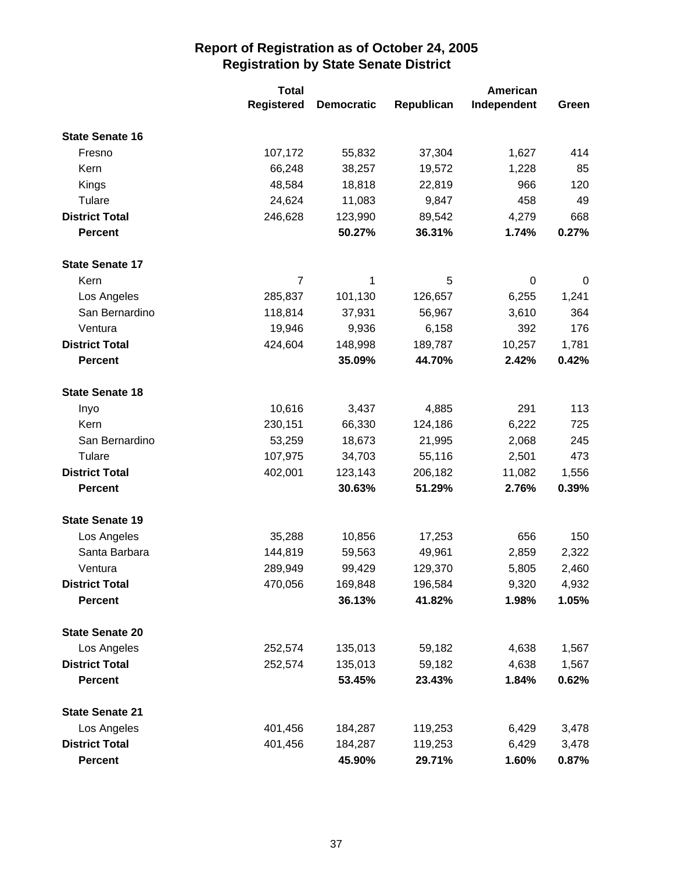|                        | <b>Total</b>      |                   | <b>American</b> |             |       |
|------------------------|-------------------|-------------------|-----------------|-------------|-------|
|                        | <b>Registered</b> | <b>Democratic</b> | Republican      | Independent | Green |
| <b>State Senate 16</b> |                   |                   |                 |             |       |
| Fresno                 | 107,172           | 55,832            | 37,304          | 1,627       | 414   |
| Kern                   | 66,248            | 38,257            | 19,572          | 1,228       | 85    |
| Kings                  | 48,584            | 18,818            | 22,819          | 966         | 120   |
| Tulare                 | 24,624            | 11,083            | 9,847           | 458         | 49    |
| <b>District Total</b>  | 246,628           | 123,990           | 89,542          | 4,279       | 668   |
| <b>Percent</b>         |                   | 50.27%            | 36.31%          | 1.74%       | 0.27% |
| <b>State Senate 17</b> |                   |                   |                 |             |       |
| Kern                   | $\overline{7}$    | 1                 | 5               | $\mathbf 0$ | 0     |
| Los Angeles            | 285,837           | 101,130           | 126,657         | 6,255       | 1,241 |
| San Bernardino         | 118,814           | 37,931            | 56,967          | 3,610       | 364   |
| Ventura                | 19,946            | 9,936             | 6,158           | 392         | 176   |
| <b>District Total</b>  | 424,604           | 148,998           | 189,787         | 10,257      | 1,781 |
| <b>Percent</b>         |                   | 35.09%            | 44.70%          | 2.42%       | 0.42% |
| <b>State Senate 18</b> |                   |                   |                 |             |       |
| Inyo                   | 10,616            | 3,437             | 4,885           | 291         | 113   |
| Kern                   | 230,151           | 66,330            | 124,186         | 6,222       | 725   |
| San Bernardino         | 53,259            | 18,673            | 21,995          | 2,068       | 245   |
| Tulare                 | 107,975           | 34,703            | 55,116          | 2,501       | 473   |
| <b>District Total</b>  | 402,001           | 123,143           | 206,182         | 11,082      | 1,556 |
| <b>Percent</b>         |                   | 30.63%            | 51.29%          | 2.76%       | 0.39% |
| <b>State Senate 19</b> |                   |                   |                 |             |       |
| Los Angeles            | 35,288            | 10,856            | 17,253          | 656         | 150   |
| Santa Barbara          | 144,819           | 59,563            | 49,961          | 2,859       | 2,322 |
| Ventura                | 289,949           | 99,429            | 129,370         | 5,805       | 2,460 |
| <b>District Total</b>  | 470,056           | 169,848           | 196,584         | 9,320       | 4,932 |
| <b>Percent</b>         |                   | 36.13%            | 41.82%          | 1.98%       | 1.05% |
| <b>State Senate 20</b> |                   |                   |                 |             |       |
| Los Angeles            | 252,574           | 135,013           | 59,182          | 4,638       | 1,567 |
| <b>District Total</b>  | 252,574           | 135,013           | 59,182          | 4,638       | 1,567 |
| <b>Percent</b>         |                   | 53.45%            | 23.43%          | 1.84%       | 0.62% |
| <b>State Senate 21</b> |                   |                   |                 |             |       |
| Los Angeles            | 401,456           | 184,287           | 119,253         | 6,429       | 3,478 |
| <b>District Total</b>  | 401,456           | 184,287           | 119,253         | 6,429       | 3,478 |
| <b>Percent</b>         |                   | 45.90%            | 29.71%          | 1.60%       | 0.87% |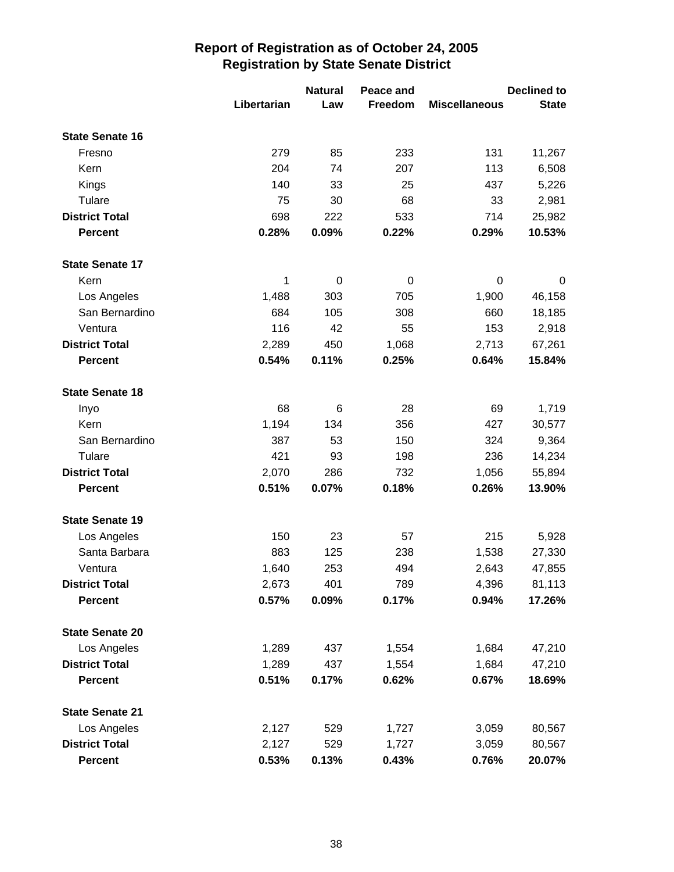|                        |             | <b>Natural</b> | Peace and |                      | <b>Declined to</b> |
|------------------------|-------------|----------------|-----------|----------------------|--------------------|
|                        | Libertarian | Law            | Freedom   | <b>Miscellaneous</b> | <b>State</b>       |
| <b>State Senate 16</b> |             |                |           |                      |                    |
| Fresno                 | 279         | 85             | 233       | 131                  | 11,267             |
| Kern                   | 204         | 74             | 207       | 113                  | 6,508              |
| Kings                  | 140         | 33             | 25        | 437                  | 5,226              |
| Tulare                 | 75          | 30             | 68        | 33                   | 2,981              |
| <b>District Total</b>  | 698         | 222            | 533       | 714                  | 25,982             |
| <b>Percent</b>         | 0.28%       | 0.09%          | 0.22%     | 0.29%                | 10.53%             |
| <b>State Senate 17</b> |             |                |           |                      |                    |
| Kern                   | 1           | 0              | 0         | 0                    | 0                  |
| Los Angeles            | 1,488       | 303            | 705       | 1,900                | 46,158             |
| San Bernardino         | 684         | 105            | 308       | 660                  | 18,185             |
| Ventura                | 116         | 42             | 55        | 153                  | 2,918              |
| <b>District Total</b>  | 2,289       | 450            | 1,068     | 2,713                | 67,261             |
| <b>Percent</b>         | 0.54%       | 0.11%          | 0.25%     | 0.64%                | 15.84%             |
| <b>State Senate 18</b> |             |                |           |                      |                    |
| Inyo                   | 68          | 6              | 28        | 69                   | 1,719              |
| Kern                   | 1,194       | 134            | 356       | 427                  | 30,577             |
| San Bernardino         | 387         | 53             | 150       | 324                  | 9,364              |
| Tulare                 | 421         | 93             | 198       | 236                  | 14,234             |
| <b>District Total</b>  | 2,070       | 286            | 732       | 1,056                | 55,894             |
| <b>Percent</b>         | 0.51%       | 0.07%          | 0.18%     | 0.26%                | 13.90%             |
| <b>State Senate 19</b> |             |                |           |                      |                    |
| Los Angeles            | 150         | 23             | 57        | 215                  | 5,928              |
| Santa Barbara          | 883         | 125            | 238       | 1,538                | 27,330             |
| Ventura                | 1,640       | 253            | 494       | 2,643                | 47,855             |
| <b>District Total</b>  | 2,673       | 401            | 789       | 4,396                | 81,113             |
| <b>Percent</b>         | 0.57%       | 0.09%          | 0.17%     | 0.94%                | 17.26%             |
| <b>State Senate 20</b> |             |                |           |                      |                    |
| Los Angeles            | 1,289       | 437            | 1,554     | 1,684                | 47,210             |
| <b>District Total</b>  | 1,289       | 437            | 1,554     | 1,684                | 47,210             |
| <b>Percent</b>         | 0.51%       | 0.17%          | 0.62%     | 0.67%                | 18.69%             |
| <b>State Senate 21</b> |             |                |           |                      |                    |
| Los Angeles            | 2,127       | 529            | 1,727     | 3,059                | 80,567             |
| <b>District Total</b>  | 2,127       | 529            | 1,727     | 3,059                | 80,567             |
| <b>Percent</b>         | 0.53%       | 0.13%          | 0.43%     | 0.76%                | 20.07%             |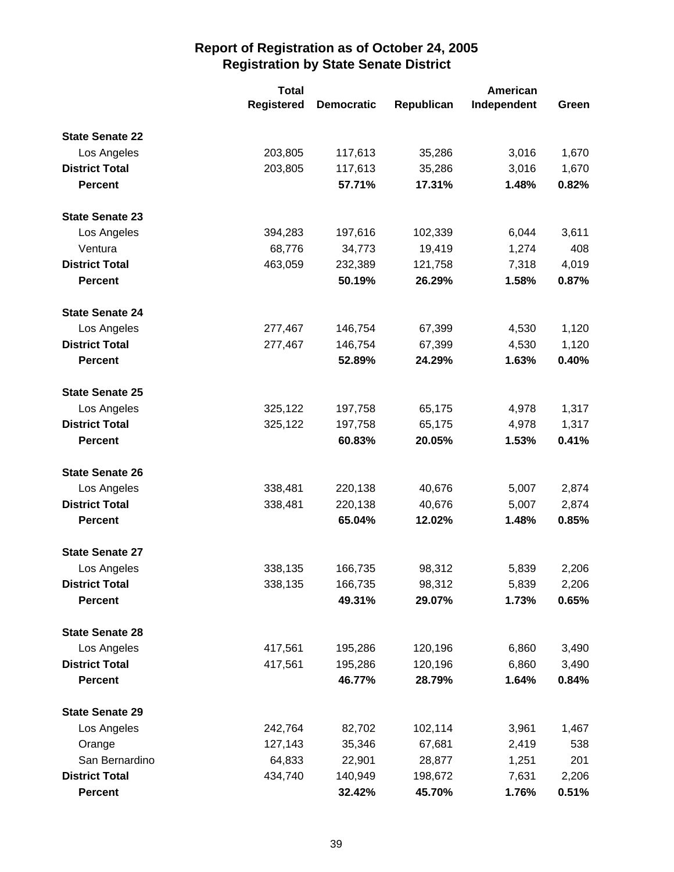|                        | <b>Total</b>      |                   | <b>American</b> |             |       |
|------------------------|-------------------|-------------------|-----------------|-------------|-------|
|                        | <b>Registered</b> | <b>Democratic</b> | Republican      | Independent | Green |
| <b>State Senate 22</b> |                   |                   |                 |             |       |
| Los Angeles            | 203,805           | 117,613           | 35,286          | 3,016       | 1,670 |
| <b>District Total</b>  | 203,805           | 117,613           | 35,286          | 3,016       | 1,670 |
| <b>Percent</b>         |                   | 57.71%            | 17.31%          | 1.48%       | 0.82% |
| <b>State Senate 23</b> |                   |                   |                 |             |       |
| Los Angeles            | 394,283           | 197,616           | 102,339         | 6,044       | 3,611 |
| Ventura                | 68,776            | 34,773            | 19,419          | 1,274       | 408   |
| <b>District Total</b>  | 463,059           | 232,389           | 121,758         | 7,318       | 4,019 |
| <b>Percent</b>         |                   | 50.19%            | 26.29%          | 1.58%       | 0.87% |
| <b>State Senate 24</b> |                   |                   |                 |             |       |
| Los Angeles            | 277,467           | 146,754           | 67,399          | 4,530       | 1,120 |
| <b>District Total</b>  | 277,467           | 146,754           | 67,399          | 4,530       | 1,120 |
| <b>Percent</b>         |                   | 52.89%            | 24.29%          | 1.63%       | 0.40% |
| <b>State Senate 25</b> |                   |                   |                 |             |       |
| Los Angeles            | 325,122           | 197,758           | 65,175          | 4,978       | 1,317 |
| <b>District Total</b>  | 325,122           | 197,758           | 65,175          | 4,978       | 1,317 |
| <b>Percent</b>         |                   | 60.83%            | 20.05%          | 1.53%       | 0.41% |
| <b>State Senate 26</b> |                   |                   |                 |             |       |
| Los Angeles            | 338,481           | 220,138           | 40,676          | 5,007       | 2,874 |
| <b>District Total</b>  | 338,481           | 220,138           | 40,676          | 5,007       | 2,874 |
| <b>Percent</b>         |                   | 65.04%            | 12.02%          | 1.48%       | 0.85% |
| <b>State Senate 27</b> |                   |                   |                 |             |       |
| Los Angeles            | 338,135           | 166,735           | 98,312          | 5,839       | 2,206 |
| <b>District Total</b>  | 338,135           | 166,735           | 98,312          | 5,839       | 2,206 |
| <b>Percent</b>         |                   | 49.31%            | 29.07%          | 1.73%       | 0.65% |
| <b>State Senate 28</b> |                   |                   |                 |             |       |
| Los Angeles            | 417,561           | 195,286           | 120,196         | 6,860       | 3,490 |
| <b>District Total</b>  | 417,561           | 195,286           | 120,196         | 6,860       | 3,490 |
| <b>Percent</b>         |                   | 46.77%            | 28.79%          | 1.64%       | 0.84% |
| <b>State Senate 29</b> |                   |                   |                 |             |       |
| Los Angeles            | 242,764           | 82,702            | 102,114         | 3,961       | 1,467 |
| Orange                 | 127,143           | 35,346            | 67,681          | 2,419       | 538   |
| San Bernardino         | 64,833            | 22,901            | 28,877          | 1,251       | 201   |
| <b>District Total</b>  | 434,740           | 140,949           | 198,672         | 7,631       | 2,206 |
| <b>Percent</b>         |                   | 32.42%            | 45.70%          | 1.76%       | 0.51% |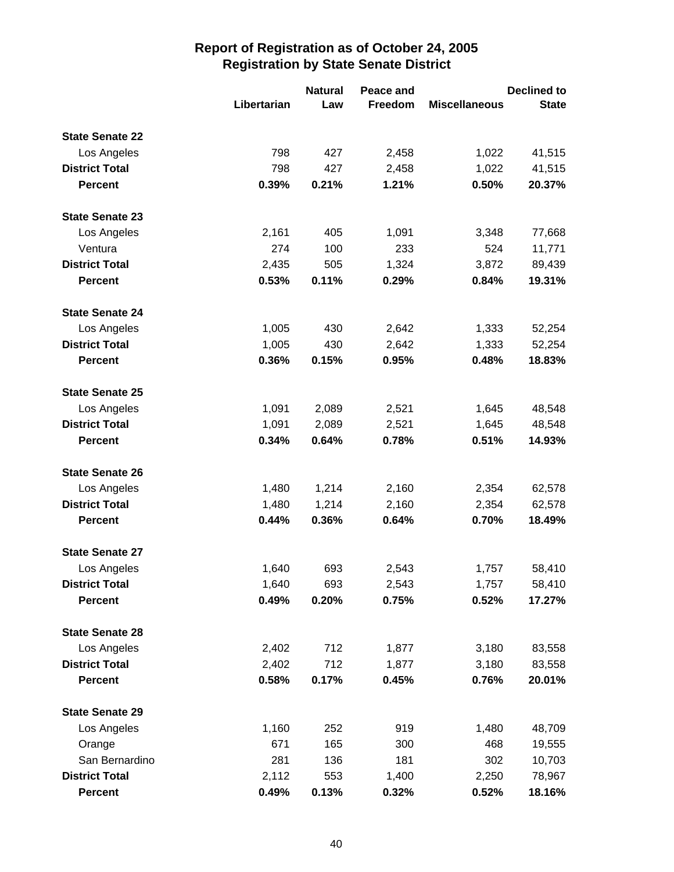|                        |             | <b>Natural</b> | Peace and |                      | <b>Declined to</b> |
|------------------------|-------------|----------------|-----------|----------------------|--------------------|
|                        | Libertarian | Law            | Freedom   | <b>Miscellaneous</b> | <b>State</b>       |
| <b>State Senate 22</b> |             |                |           |                      |                    |
| Los Angeles            | 798         | 427            | 2,458     | 1,022                | 41,515             |
| <b>District Total</b>  | 798         | 427            | 2,458     | 1,022                | 41,515             |
| <b>Percent</b>         | 0.39%       | 0.21%          | 1.21%     | 0.50%                | 20.37%             |
| <b>State Senate 23</b> |             |                |           |                      |                    |
| Los Angeles            | 2,161       | 405            | 1,091     | 3,348                | 77,668             |
| Ventura                | 274         | 100            | 233       | 524                  | 11,771             |
| <b>District Total</b>  | 2,435       | 505            | 1,324     | 3,872                | 89,439             |
| <b>Percent</b>         | 0.53%       | 0.11%          | 0.29%     | 0.84%                | 19.31%             |
| <b>State Senate 24</b> |             |                |           |                      |                    |
| Los Angeles            | 1,005       | 430            | 2,642     | 1,333                | 52,254             |
| <b>District Total</b>  | 1,005       | 430            | 2,642     | 1,333                | 52,254             |
| <b>Percent</b>         | 0.36%       | 0.15%          | 0.95%     | 0.48%                | 18.83%             |
| <b>State Senate 25</b> |             |                |           |                      |                    |
| Los Angeles            | 1,091       | 2,089          | 2,521     | 1,645                | 48,548             |
| <b>District Total</b>  | 1,091       | 2,089          | 2,521     | 1,645                | 48,548             |
| <b>Percent</b>         | 0.34%       | 0.64%          | 0.78%     | 0.51%                | 14.93%             |
| <b>State Senate 26</b> |             |                |           |                      |                    |
| Los Angeles            | 1,480       | 1,214          | 2,160     | 2,354                | 62,578             |
| <b>District Total</b>  | 1,480       | 1,214          | 2,160     | 2,354                | 62,578             |
| <b>Percent</b>         | 0.44%       | 0.36%          | 0.64%     | 0.70%                | 18.49%             |
| <b>State Senate 27</b> |             |                |           |                      |                    |
| Los Angeles            | 1,640       | 693            | 2,543     | 1,757                | 58,410             |
| <b>District Total</b>  | 1,640       | 693            | 2,543     | 1,757                | 58,410             |
| <b>Percent</b>         | 0.49%       | 0.20%          | 0.75%     | 0.52%                | 17.27%             |
| <b>State Senate 28</b> |             |                |           |                      |                    |
| Los Angeles            | 2,402       | 712            | 1,877     | 3,180                | 83,558             |
| <b>District Total</b>  | 2,402       | 712            | 1,877     | 3,180                | 83,558             |
| <b>Percent</b>         | 0.58%       | 0.17%          | 0.45%     | 0.76%                | 20.01%             |
| <b>State Senate 29</b> |             |                |           |                      |                    |
| Los Angeles            | 1,160       | 252            | 919       | 1,480                | 48,709             |
| Orange                 | 671         | 165            | 300       | 468                  | 19,555             |
| San Bernardino         | 281         | 136            | 181       | 302                  | 10,703             |
| <b>District Total</b>  | 2,112       | 553            | 1,400     | 2,250                | 78,967             |
| <b>Percent</b>         | 0.49%       | 0.13%          | 0.32%     | 0.52%                | 18.16%             |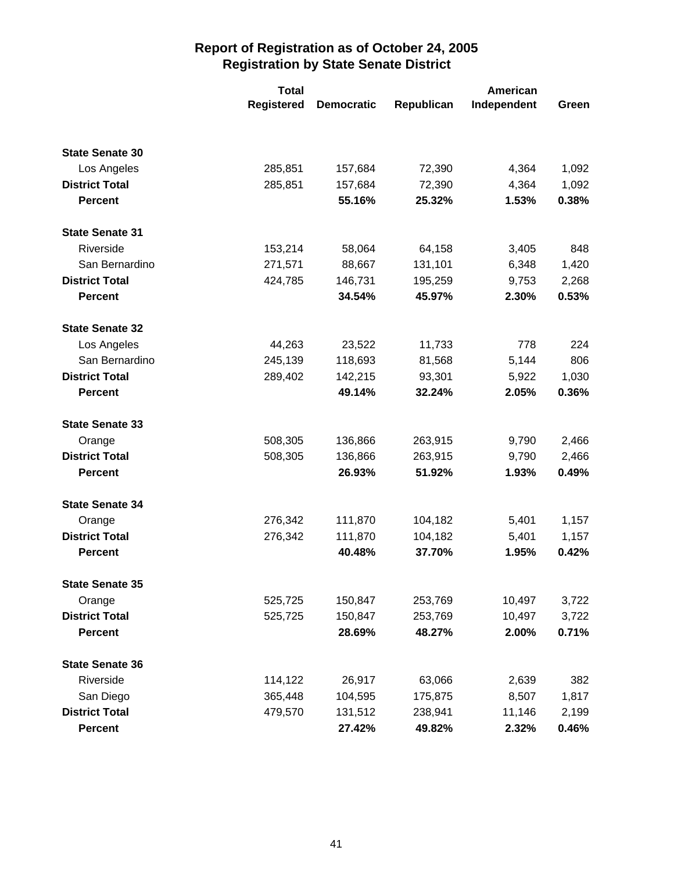|                        | <b>Total</b>      |                   | American   |             |       |
|------------------------|-------------------|-------------------|------------|-------------|-------|
|                        | <b>Registered</b> | <b>Democratic</b> | Republican | Independent | Green |
|                        |                   |                   |            |             |       |
| <b>State Senate 30</b> |                   |                   |            |             |       |
| Los Angeles            | 285,851           | 157,684           | 72,390     | 4,364       | 1,092 |
| <b>District Total</b>  | 285,851           | 157,684           | 72,390     | 4,364       | 1,092 |
| <b>Percent</b>         |                   | 55.16%            | 25.32%     | 1.53%       | 0.38% |
| <b>State Senate 31</b> |                   |                   |            |             |       |
| Riverside              | 153,214           | 58,064            | 64,158     | 3,405       | 848   |
| San Bernardino         | 271,571           | 88,667            | 131,101    | 6,348       | 1,420 |
| <b>District Total</b>  | 424,785           | 146,731           | 195,259    | 9,753       | 2,268 |
| <b>Percent</b>         |                   | 34.54%            | 45.97%     | 2.30%       | 0.53% |
| <b>State Senate 32</b> |                   |                   |            |             |       |
| Los Angeles            | 44,263            | 23,522            | 11,733     | 778         | 224   |
| San Bernardino         | 245,139           | 118,693           | 81,568     | 5,144       | 806   |
| <b>District Total</b>  | 289,402           | 142,215           | 93,301     | 5,922       | 1,030 |
| <b>Percent</b>         |                   | 49.14%            | 32.24%     | 2.05%       | 0.36% |
| <b>State Senate 33</b> |                   |                   |            |             |       |
| Orange                 | 508,305           | 136,866           | 263,915    | 9,790       | 2,466 |
| <b>District Total</b>  | 508,305           | 136,866           | 263,915    | 9,790       | 2,466 |
| <b>Percent</b>         |                   | 26.93%            | 51.92%     | 1.93%       | 0.49% |
| <b>State Senate 34</b> |                   |                   |            |             |       |
| Orange                 | 276,342           | 111,870           | 104,182    | 5,401       | 1,157 |
| <b>District Total</b>  | 276,342           | 111,870           | 104,182    | 5,401       | 1,157 |
| <b>Percent</b>         |                   | 40.48%            | 37.70%     | 1.95%       | 0.42% |
| <b>State Senate 35</b> |                   |                   |            |             |       |
| Orange                 | 525,725           | 150,847           | 253,769    | 10,497      | 3,722 |
| <b>District Total</b>  | 525,725           | 150,847           | 253,769    | 10,497      | 3,722 |
| <b>Percent</b>         |                   | 28.69%            | 48.27%     | 2.00%       | 0.71% |
| <b>State Senate 36</b> |                   |                   |            |             |       |
| Riverside              | 114,122           | 26,917            | 63,066     | 2,639       | 382   |
| San Diego              | 365,448           | 104,595           | 175,875    | 8,507       | 1,817 |
| <b>District Total</b>  | 479,570           | 131,512           | 238,941    | 11,146      | 2,199 |
| <b>Percent</b>         |                   | 27.42%            | 49.82%     | 2.32%       | 0.46% |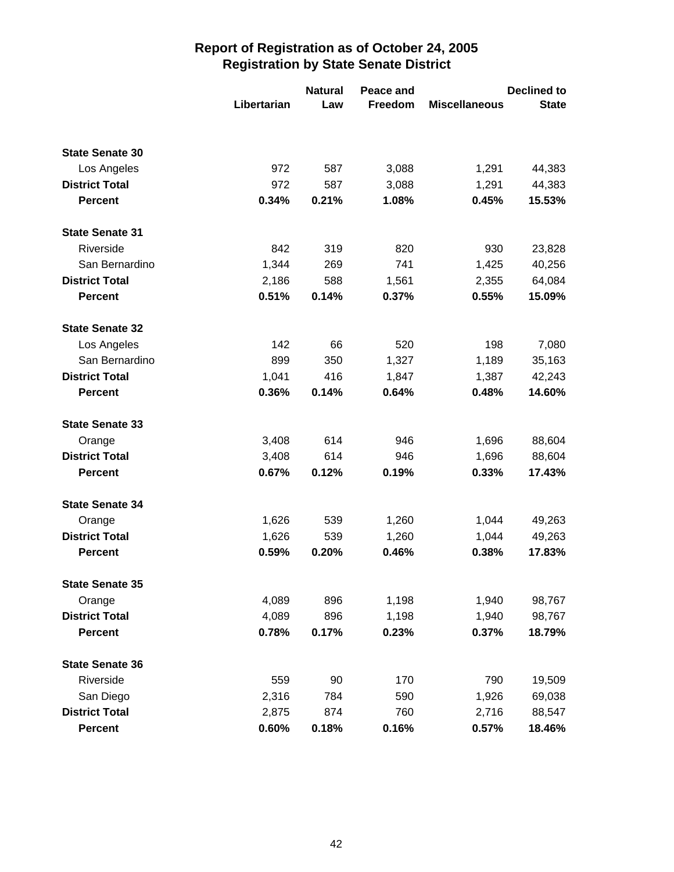|                        |             | <b>Natural</b> | Peace and |                      | <b>Declined to</b> |
|------------------------|-------------|----------------|-----------|----------------------|--------------------|
|                        | Libertarian | Law            | Freedom   | <b>Miscellaneous</b> | <b>State</b>       |
|                        |             |                |           |                      |                    |
| <b>State Senate 30</b> |             |                |           |                      |                    |
| Los Angeles            | 972         | 587            | 3,088     | 1,291                | 44,383             |
| <b>District Total</b>  | 972         | 587            | 3,088     | 1,291                | 44,383             |
| <b>Percent</b>         | 0.34%       | 0.21%          | 1.08%     | 0.45%                | 15.53%             |
| <b>State Senate 31</b> |             |                |           |                      |                    |
| Riverside              | 842         | 319            | 820       | 930                  | 23,828             |
| San Bernardino         | 1,344       | 269            | 741       | 1,425                | 40,256             |
| <b>District Total</b>  | 2,186       | 588            | 1,561     | 2,355                | 64,084             |
| <b>Percent</b>         | 0.51%       | 0.14%          | 0.37%     | 0.55%                | 15.09%             |
| <b>State Senate 32</b> |             |                |           |                      |                    |
| Los Angeles            | 142         | 66             | 520       | 198                  | 7,080              |
| San Bernardino         | 899         | 350            | 1,327     | 1,189                | 35,163             |
| <b>District Total</b>  | 1,041       | 416            | 1,847     | 1,387                | 42,243             |
| <b>Percent</b>         | 0.36%       | 0.14%          | 0.64%     | 0.48%                | 14.60%             |
| <b>State Senate 33</b> |             |                |           |                      |                    |
| Orange                 | 3,408       | 614            | 946       | 1,696                | 88,604             |
| <b>District Total</b>  | 3,408       | 614            | 946       | 1,696                | 88,604             |
| <b>Percent</b>         | 0.67%       | 0.12%          | 0.19%     | 0.33%                | 17.43%             |
| <b>State Senate 34</b> |             |                |           |                      |                    |
| Orange                 | 1,626       | 539            | 1,260     | 1,044                | 49,263             |
| <b>District Total</b>  | 1,626       | 539            | 1,260     | 1,044                | 49,263             |
| <b>Percent</b>         | 0.59%       | 0.20%          | 0.46%     | 0.38%                | 17.83%             |
| <b>State Senate 35</b> |             |                |           |                      |                    |
| Orange                 | 4,089       | 896            | 1,198     | 1,940                | 98,767             |
| <b>District Total</b>  | 4,089       | 896            | 1,198     | 1,940                | 98,767             |
| <b>Percent</b>         | 0.78%       | 0.17%          | 0.23%     | 0.37%                | 18.79%             |
| <b>State Senate 36</b> |             |                |           |                      |                    |
| Riverside              | 559         | 90             | 170       | 790                  | 19,509             |
| San Diego              | 2,316       | 784            | 590       | 1,926                | 69,038             |
| <b>District Total</b>  | 2,875       | 874            | 760       | 2,716                | 88,547             |
| <b>Percent</b>         | 0.60%       | 0.18%          | 0.16%     | 0.57%                | 18.46%             |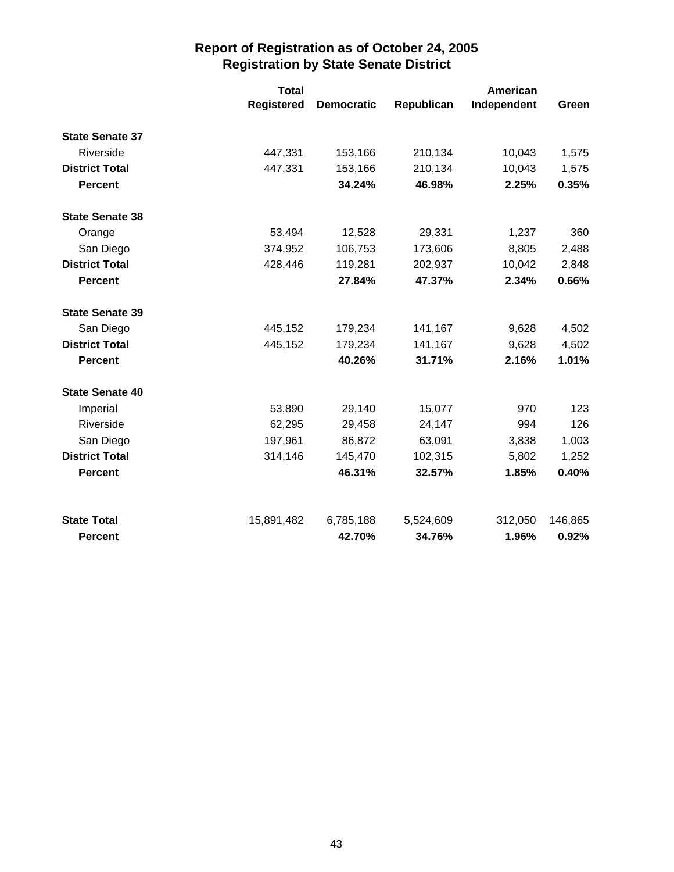|                        | <b>Total</b> |                   |            | American    |         |
|------------------------|--------------|-------------------|------------|-------------|---------|
|                        | Registered   | <b>Democratic</b> | Republican | Independent | Green   |
| <b>State Senate 37</b> |              |                   |            |             |         |
| Riverside              | 447,331      | 153,166           | 210,134    | 10,043      | 1,575   |
| <b>District Total</b>  | 447,331      | 153,166           | 210,134    | 10,043      | 1,575   |
| <b>Percent</b>         |              | 34.24%            | 46.98%     | 2.25%       | 0.35%   |
| <b>State Senate 38</b> |              |                   |            |             |         |
| Orange                 | 53,494       | 12,528            | 29,331     | 1,237       | 360     |
| San Diego              | 374,952      | 106,753           | 173,606    | 8,805       | 2,488   |
| <b>District Total</b>  | 428,446      | 119,281           | 202,937    | 10,042      | 2,848   |
| <b>Percent</b>         |              | 27.84%            | 47.37%     | 2.34%       | 0.66%   |
| <b>State Senate 39</b> |              |                   |            |             |         |
| San Diego              | 445,152      | 179,234           | 141,167    | 9,628       | 4,502   |
| <b>District Total</b>  | 445,152      | 179,234           | 141,167    | 9,628       | 4,502   |
| <b>Percent</b>         |              | 40.26%            | 31.71%     | 2.16%       | 1.01%   |
| <b>State Senate 40</b> |              |                   |            |             |         |
| Imperial               | 53,890       | 29,140            | 15,077     | 970         | 123     |
| Riverside              | 62,295       | 29,458            | 24,147     | 994         | 126     |
| San Diego              | 197,961      | 86,872            | 63,091     | 3,838       | 1,003   |
| <b>District Total</b>  | 314,146      | 145,470           | 102,315    | 5,802       | 1,252   |
| <b>Percent</b>         |              | 46.31%            | 32.57%     | 1.85%       | 0.40%   |
| <b>State Total</b>     | 15,891,482   | 6,785,188         | 5,524,609  | 312,050     | 146,865 |
| <b>Percent</b>         |              | 42.70%            | 34.76%     | 1.96%       | 0.92%   |